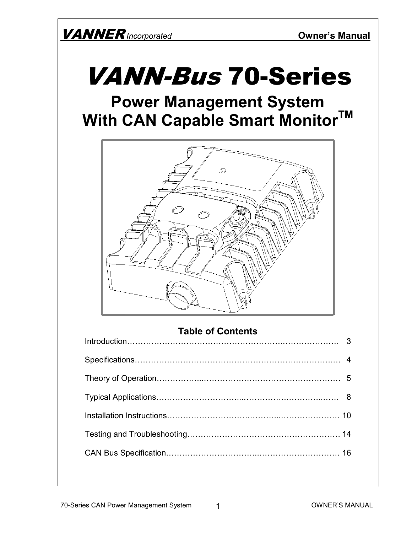# VANN-Bus 70-Series

# **Power Management System With CAN Capable Smart MonitorTM**



### **Table of Contents**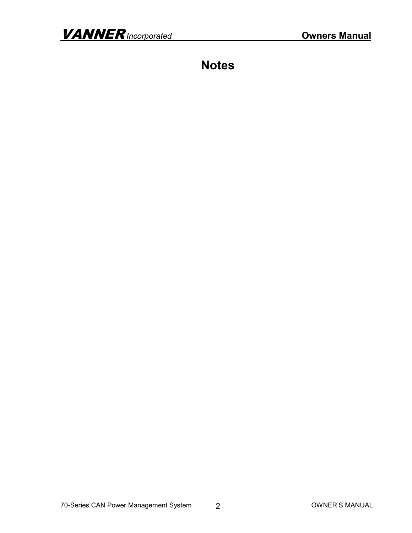**Notes**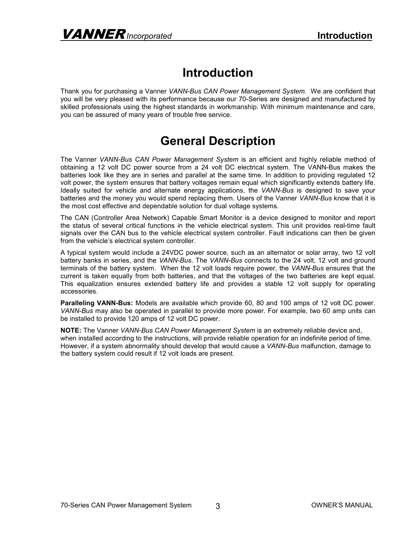### **Introduction**

Thank you for purchasing a Vanner *VANN-Bus CAN Power Management System*. We are confident that you will be very pleased with its performance because our 70-Series are designed and manufactured by skilled professionals using the highest standards in workmanship. With minimum maintenance and care, you can be assured of many years of trouble free service.

### **General Description**

The Vanner *VANN-Bus CAN Power Management System* is an efficient and highly reliable method of obtaining a 12 volt DC power source from a 24 volt DC electrical system. The VANN-Bus makes the batteries look like they are in series and parallel at the same time. In addition to providing regulated 12 volt power, the system ensures that battery voltages remain equal which significantly extends battery life. Ideally suited for vehicle and alternate energy applications, the *VANN-Bus* is designed to save your batteries and the money you would spend replacing them. Users of the Vanner *VANN-Bus* know that it is the most cost effective and dependable solution for dual voltage systems.

The CAN (Controller Area Network) Capable Smart Monitor is a device designed to monitor and report the status of several critical functions in the vehicle electrical system. This unit provides real-time fault signals over the CAN bus to the vehicle electrical system controller. Fault indications can then be given from the vehicle's electrical system controller.

A typical system would include a 24VDC power source, such as an alternator or solar array, two 12 volt battery banks in series, and the *VANN-Bus*. The *VANN-Bus* connects to the 24 volt, 12 volt and ground terminals of the battery system. When the 12 volt loads require power, the *VANN-Bus* ensures that the current is taken equally from both batteries, and that the voltages of the two batteries are kept equal. This equalization ensures extended battery life and provides a stable 12 volt supply for operating accessories.

**Paralleling VANN-Bus:** Models are available which provide 60, 80 and 100 amps of 12 volt DC power. *VANN-Bus* may also be operated in parallel to provide more power. For example, two 60 amp units can be installed to provide 120 amps of 12 volt DC power.

**NOTE:** The Vanner *VANN-Bus CAN Power Management System* is an extremely reliable device and, when installed according to the instructions, will provide reliable operation for an indefinite period of time. However, if a system abnormality should develop that would cause a *VANN-Bus* malfunction, damage to the battery system could result if 12 volt loads are present.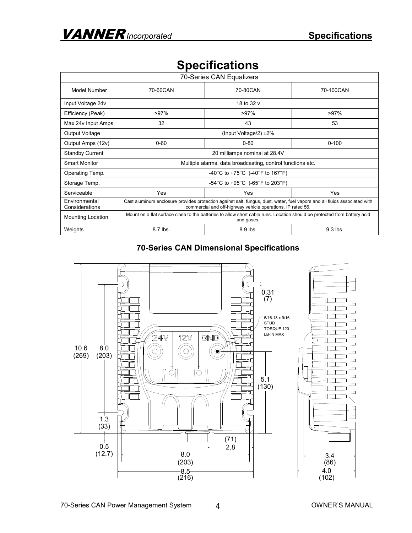| 70-Series CAN Equalizers        |                                                                                                                                                                                          |          |           |  |
|---------------------------------|------------------------------------------------------------------------------------------------------------------------------------------------------------------------------------------|----------|-----------|--|
| Model Number<br>70-60CAN        |                                                                                                                                                                                          | 70-80CAN | 70-100CAN |  |
| Input Voltage 24v               | 18 to 32 v                                                                                                                                                                               |          |           |  |
| Efficiency (Peak)               | >97%                                                                                                                                                                                     | $>97\%$  | $>97\%$   |  |
| Max 24v Input Amps              | 32                                                                                                                                                                                       | 43       | 53        |  |
| Output Voltage                  | (Input Voltage/2) $\pm 2\%$                                                                                                                                                              |          |           |  |
| Output Amps (12v)               | $0 - 60$                                                                                                                                                                                 | $0 - 80$ | $0 - 100$ |  |
| <b>Standby Current</b>          | 20 milliamps nominal at 28.4V                                                                                                                                                            |          |           |  |
| <b>Smart Monitor</b>            | Multiple alarms, data broadcasting, control functions etc.                                                                                                                               |          |           |  |
| Operating Temp.                 | -40°C to +75°C (-40°F to 167°F)                                                                                                                                                          |          |           |  |
| Storage Temp.                   | -54°C to +95°C (-65°F to 203°F)                                                                                                                                                          |          |           |  |
| Serviceable                     | Yes                                                                                                                                                                                      | Yes      | Yes       |  |
| Environmental<br>Considerations | Cast aluminum enclosure provides protection against salt, fungus, dust, water, fuel vapors and all fluids associated with<br>commercial and off-highway vehicle operations. IP rated 56. |          |           |  |
| <b>Mounting Location</b>        | Mount on a flat surface close to the batteries to allow short cable runs. Location should be protected from battery acid<br>and gases.                                                   |          |           |  |
| Weights                         | 8.7 lbs.                                                                                                                                                                                 | 8.9 lbs. | 9.3 lbs.  |  |

## **Specifications**

#### **70-Series CAN Dimensional Specifications**

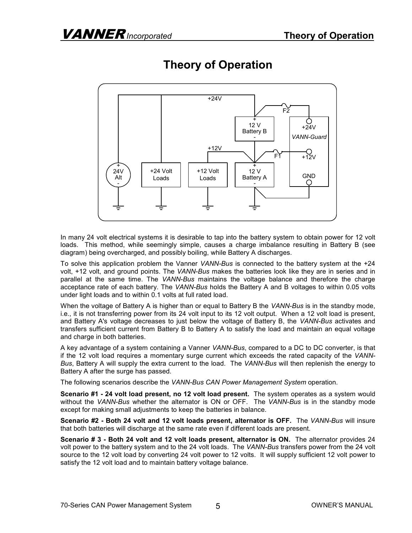

# **Theory of Operation**

In many 24 volt electrical systems it is desirable to tap into the battery system to obtain power for 12 volt loads. This method, while seemingly simple, causes a charge imbalance resulting in Battery B (see diagram) being overcharged, and possibly boiling, while Battery A discharges.

To solve this application problem the Vanner *VANN-Bus* is connected to the battery system at the +24 volt, +12 volt, and ground points. The *VANN-Bus* makes the batteries look like they are in series and in parallel at the same time. The *VANN-Bus* maintains the voltage balance and therefore the charge acceptance rate of each battery. The *VANN-Bus* holds the Battery A and B voltages to within 0.05 volts under light loads and to within 0.1 volts at full rated load.

When the voltage of Battery A is higher than or equal to Battery B the *VANN-Bus* is in the standby mode, i.e., it is not transferring power from its 24 volt input to its 12 volt output. When a 12 volt load is present, and Battery A's voltage decreases to just below the voltage of Battery B, the *VANN-Bus* activates and transfers sufficient current from Battery B to Battery A to satisfy the load and maintain an equal voltage and charge in both batteries.

A key advantage of a system containing a Vanner *VANN-Bus*, compared to a DC to DC converter, is that if the 12 volt load requires a momentary surge current which exceeds the rated capacity of the *VANN-Bus*, Battery A will supply the extra current to the load. The *VANN-Bus* will then replenish the energy to Battery A after the surge has passed.

The following scenarios describe the *VANN-Bus CAN Power Management System* operation.

**Scenario #1 - 24 volt load present, no 12 volt load present.** The system operates as a system would without the *VANN-Bus* whether the alternator is ON or OFF. The *VANN-Bus* is in the standby mode except for making small adjustments to keep the batteries in balance.

**Scenario #2 - Both 24 volt and 12 volt loads present, alternator is OFF.** The *VANN-Bus* will insure that both batteries will discharge at the same rate even if different loads are present.

**Scenario # 3 - Both 24 volt and 12 volt loads present, alternator is ON.** The alternator provides 24 volt power to the battery system and to the 24 volt loads. The *VANN-Bus* transfers power from the 24 volt source to the 12 volt load by converting 24 volt power to 12 volts. It will supply sufficient 12 volt power to satisfy the 12 volt load and to maintain battery voltage balance.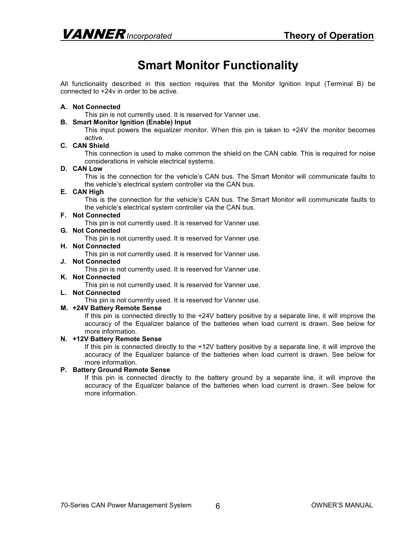## **Smart Monitor Functionality**

All functionality described in this section requires that the Monitor Ignition Input (Terminal B) be connected to +24v in order to be active.

#### **A. Not Connected**

This pin is not currently used. It is reserved for Vanner use.

#### **B. Smart Monitor Ignition (Enable) Input**

This input powers the equalizer monitor. When this pin is taken to +24V the monitor becomes active.

#### **C. CAN Shield**

This connection is used to make common the shield on the CAN cable. This is required for noise considerations in vehicle electrical systems.

#### **D. CAN Low**

This is the connection for the vehicle's CAN bus. The Smart Monitor will communicate faults to the vehicle's electrical system controller via the CAN bus.

#### **E. CAN High**

This is the connection for the vehicle's CAN bus. The Smart Monitor will communicate faults to the vehicle's electrical system controller via the CAN bus.

#### **F. Not Connected**

This pin is not currently used. It is reserved for Vanner use.

#### **G. Not Connected**

This pin is not currently used. It is reserved for Vanner use.

#### **H. Not Connected**

This pin is not currently used. It is reserved for Vanner use.

#### **J. Not Connected**

This pin is not currently used. It is reserved for Vanner use.

#### **K. Not Connected**

This pin is not currently used. It is reserved for Vanner use.

#### **L. Not Connected**

This pin is not currently used. It is reserved for Vanner use.

#### **M. +24V Battery Remote Sense**

If this pin is connected directly to the +24V battery positive by a separate line, it will improve the accuracy of the Equalizer balance of the batteries when load current is drawn. See below for more information.

#### **N. +12V Battery Remote Sense**

If this pin is connected directly to the +12V battery positive by a separate line, it will improve the accuracy of the Equalizer balance of the batteries when load current is drawn. See below for more information.

#### **P. Battery Ground Remote Sense**

If this pin is connected directly to the battery ground by a separate line, it will improve the accuracy of the Equalizer balance of the batteries when load current is drawn. See below for more information.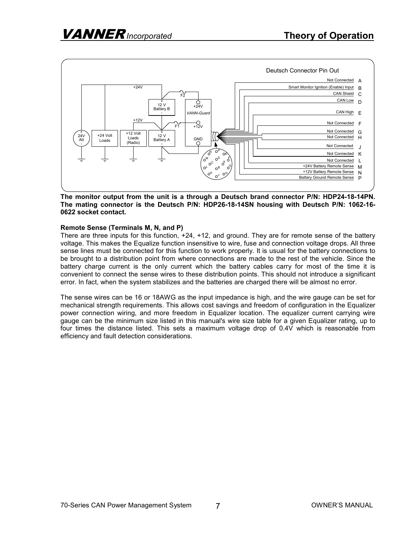

#### **The monitor output from the unit is a through a Deutsch brand connector P/N: HDP24-18-14PN. The mating connector is the Deutsch P/N: HDP26-18-14SN housing with Deutsch P/N: 1062-16- 0622 socket contact.**

#### **Remote Sense (Terminals M, N, and P)**

There are three inputs for this function, +24, +12, and ground. They are for remote sense of the battery voltage. This makes the Equalize function insensitive to wire, fuse and connection voltage drops. All three sense lines must be connected for this function to work properly. It is usual for the battery connections to be brought to a distribution point from where connections are made to the rest of the vehicle. Since the battery charge current is the only current which the battery cables carry for most of the time it is convenient to connect the sense wires to these distribution points. This should not introduce a significant error. In fact, when the system stabilizes and the batteries are charged there will be almost no error.

The sense wires can be 16 or 18AWG as the input impedance is high, and the wire gauge can be set for mechanical strength requirements. This allows cost savings and freedom of configuration in the Equalizer power connection wiring, and more freedom in Equalizer location. The equalizer current carrying wire gauge can be the minimum size listed in this manual's wire size table for a given Equalizer rating, up to four times the distance listed. This sets a maximum voltage drop of 0.4V which is reasonable from efficiency and fault detection considerations.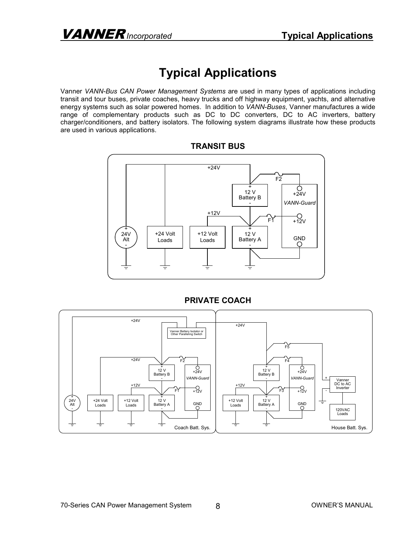# **Typical Applications**

Vanner *VANN-Bus CAN Power Management Systems* are used in many types of applications including transit and tour buses, private coaches, heavy trucks and off highway equipment, yachts, and alternative energy systems such as solar powered homes. In addition to *VANN-Buses*, Vanner manufactures a wide range of complementary products such as DC to DC converters, DC to AC inverters, battery charger/conditioners, and battery isolators. The following system diagrams illustrate how these products are used in various applications.



#### **TRANSIT BUS**



#### **PRIVATE COACH**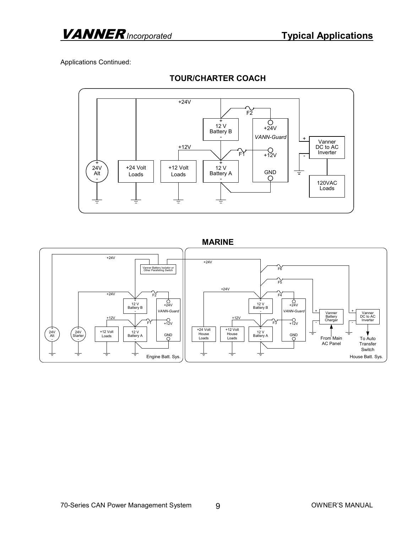Applications Continued:



#### **TOUR/CHARTER COACH**

#### **MARINE**

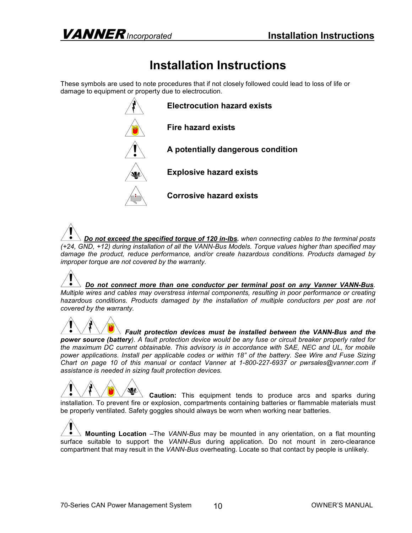# **Installation Instructions**

These symbols are used to note procedures that if not closely followed could lead to loss of life or damage to equipment or property due to electrocution.



*Do not exceed the specified torque of 120 in-lbs. when connecting cables to the terminal posts (+24, GND, +12) during installation of all the VANN-Bus Models. Torque values higher than specified may damage the product, reduce performance, and/or create hazardous conditions. Products damaged by improper torque are not covered by the warranty.* 

*Do not connect more than one conductor per terminal post on any Vanner VANN-Bus. Multiple wires and cables may overstress internal components, resulting in poor performance or creating*  hazardous conditions. Products damaged by the installation of multiple conductors per post are not *covered by the warranty.* 

*Fault protection devices must be installed between the VANN-Bus and the power source (battery). A fault protection device would be any fuse or circuit breaker properly rated for the maximum DC current obtainable. This advisory is in accordance with SAE, NEC and UL, for mobile power applications. Install per applicable codes or within 18" of the battery. See Wire and Fuse Sizing Chart on page 10 of this manual or contact Vanner at 1-800-227-6937 or pwrsales@vanner.com if assistance is needed in sizing fault protection devices.* 

**Caution:** This equipment tends to produce arcs and sparks during installation. To prevent fire or explosion, compartments containing batteries or flammable materials must be properly ventilated. Safety goggles should always be worn when working near batteries.

**Mounting Location** –The *VANN-Bus* may be mounted in any orientation, on a flat mounting surface suitable to support the *VANN-Bus* during application. Do not mount in zero-clearance compartment that may result in the *VANN-Bus* overheating. Locate so that contact by people is unlikely.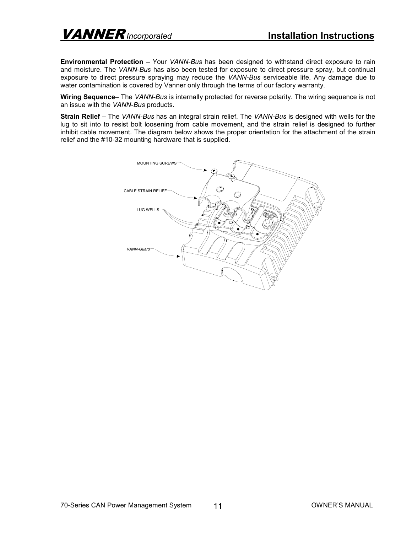**Environmental Protection** – Your *VANN-Bus* has been designed to withstand direct exposure to rain and moisture. The *VANN-Bus* has also been tested for exposure to direct pressure spray, but continual exposure to direct pressure spraying may reduce the *VANN-Bus* serviceable life. Any damage due to water contamination is covered by Vanner only through the terms of our factory warranty.

**Wiring Sequence**– The *VANN-Bus* is internally protected for reverse polarity. The wiring sequence is not an issue with the *VANN-Bus* products.

**Strain Relief** – The *VANN-Bus* has an integral strain relief. The *VANN-Bus* is designed with wells for the lug to sit into to resist bolt loosening from cable movement, and the strain relief is designed to further inhibit cable movement. The diagram below shows the proper orientation for the attachment of the strain relief and the #10-32 mounting hardware that is supplied.

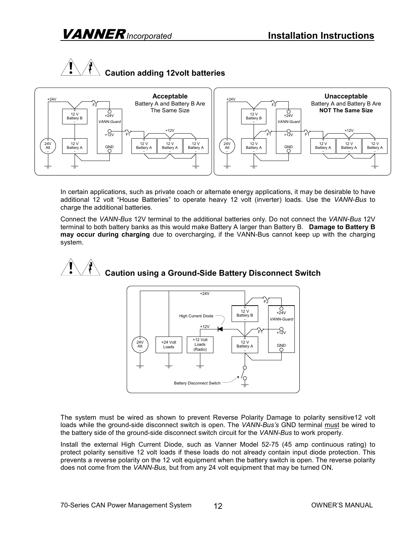# VANNER *Incorporated* **Installation Instructions**





In certain applications, such as private coach or alternate energy applications, it may be desirable to have additional 12 volt "House Batteries" to operate heavy 12 volt (inverter) loads. Use the *VANN-Bus* to charge the additional batteries.

Connect the *VANN-Bus* 12V terminal to the additional batteries only. Do not connect the *VANN-Bus* 12V terminal to both battery banks as this would make Battery A larger than Battery B. **Damage to Battery B may occur during charging** due to overcharging, if the VANN-Bus cannot keep up with the charging system.





The system must be wired as shown to prevent Reverse Polarity Damage to polarity sensitive12 volt loads while the ground-side disconnect switch is open. The *VANN-Bus's* GND terminal must be wired to the battery side of the ground-side disconnect switch circuit for the *VANN-Bus* to work properly.

Install the external High Current Diode, such as Vanner Model 52-75 (45 amp continuous rating) to protect polarity sensitive 12 volt loads if these loads do not already contain input diode protection. This prevents a reverse polarity on the 12 volt equipment when the battery switch is open. The reverse polarity does not come from the *VANN-Bus,* but from any 24 volt equipment that may be turned ON.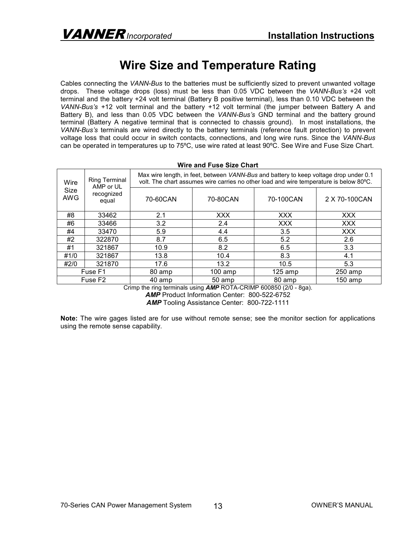### **Wire Size and Temperature Rating**

Cables connecting the *VANN-Bus* to the batteries must be sufficiently sized to prevent unwanted voltage drops. These voltage drops (loss) must be less than 0.05 VDC between the *VANN-Bus's* +24 volt terminal and the battery +24 volt terminal (Battery B positive terminal), less than 0.10 VDC between the *VANN-Bus's* +12 volt terminal and the battery +12 volt terminal (the jumper between Battery A and Battery B), and less than 0.05 VDC between the *VANN-Bus's* GND terminal and the battery ground terminal (Battery A negative terminal that is connected to chassis ground). In most installations, the *VANN-Bus's* terminals are wired directly to the battery terminals (reference fault protection) to prevent voltage loss that could occur in switch contacts, connections, and long wire runs. Since the *VANN-Bus* can be operated in temperatures up to 75ºC, use wire rated at least 90ºC. See Wire and Fuse Size Chart.

|                     | MILE ANU LUJE UILE VIIALL                                |                                                                                                                                                                                 |           |            |                |
|---------------------|----------------------------------------------------------|---------------------------------------------------------------------------------------------------------------------------------------------------------------------------------|-----------|------------|----------------|
| Wire<br>Size<br>AWG | <b>Ring Terminal</b><br>AMP or UL<br>recognized<br>equal | Max wire length, in feet, between VANN-Bus and battery to keep voltage drop under 0.1<br>volt. The chart assumes wire carries no other load and wire temperature is below 80°C. |           |            |                |
|                     |                                                          | 70-60CAN                                                                                                                                                                        | 70-80CAN  | 70-100CAN  | 2 X 70-100 CAN |
| #8                  | 33462                                                    | 2.1                                                                                                                                                                             | XXX       | XXX        | <b>XXX</b>     |
| #6                  | 33466                                                    | 3.2                                                                                                                                                                             | 2.4       | <b>XXX</b> | <b>XXX</b>     |
| #4                  | 33470                                                    | 5.9                                                                                                                                                                             | 4.4       | 3.5        | <b>XXX</b>     |
| #2                  | 322870                                                   | 8.7                                                                                                                                                                             | 6.5       | 5.2        | 2.6            |
| #1                  | 321867                                                   | 10.9                                                                                                                                                                            | 8.2       | 6.5        | 3.3            |
| #1/0                | 321867                                                   | 13.8                                                                                                                                                                            | 10.4      | 8.3        | 4.1            |
| #2/0                | 321870                                                   | 17.6                                                                                                                                                                            | 13.2      | 10.5       | 5.3            |
|                     | Fuse F1                                                  | 80 amp                                                                                                                                                                          | $100$ amp | $125$ amp  | $250$ amp      |
|                     | Fuse F <sub>2</sub>                                      | 40 amp                                                                                                                                                                          | 50 amp    | 80 amp     | 150 amp        |

**Wire and Fuse Size Chart**

Crimp the ring terminals using *AMP* ROTA-CRIMP 600850 (2/0 - 8ga). AMP Product Information Center: 800-522-6752

*AMP* Tooling Assistance Center: 800-722-1111

**Note:** The wire gages listed are for use without remote sense; see the monitor section for applications using the remote sense capability.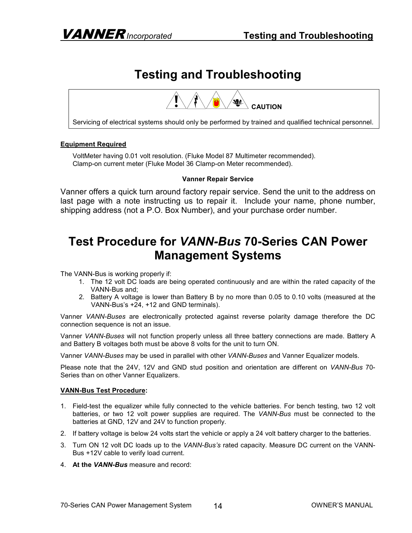# **Testing and Troubleshooting**



Servicing of electrical systems should only be performed by trained and qualified technical personnel.

#### **Equipment Required**

VoltMeter having 0.01 volt resolution. (Fluke Model 87 Multimeter recommended). Clamp-on current meter (Fluke Model 36 Clamp-on Meter recommended).

#### **Vanner Repair Service**

Vanner offers a quick turn around factory repair service. Send the unit to the address on last page with a note instructing us to repair it. Include your name, phone number, shipping address (not a P.O. Box Number), and your purchase order number.

### **Test Procedure for** *VANN-Bus* **70-Series CAN Power Management Systems**

The VANN-Bus is working properly if:

- 1. The 12 volt DC loads are being operated continuously and are within the rated capacity of the VANN-Bus and;
- 2. Battery A voltage is lower than Battery B by no more than 0.05 to 0.10 volts (measured at the VANN-Bus's +24, +12 and GND terminals).

Vanner *VANN-Buses* are electronically protected against reverse polarity damage therefore the DC connection sequence is not an issue.

Vanner *VANN-Buses* will not function properly unless all three battery connections are made. Battery A and Battery B voltages both must be above 8 volts for the unit to turn ON.

Vanner *VANN-Buses* may be used in parallel with other *VANN-Buses* and Vanner Equalizer models.

Please note that the 24V, 12V and GND stud position and orientation are different on *VANN-Bus* 70- Series than on other Vanner Equalizers.

#### **VANN-Bus Test Procedure:**

- 1. Field-test the equalizer while fully connected to the vehicle batteries. For bench testing, two 12 volt batteries, or two 12 volt power supplies are required. The *VANN-Bus* must be connected to the batteries at GND, 12V and 24V to function properly.
- 2. If battery voltage is below 24 volts start the vehicle or apply a 24 volt battery charger to the batteries.
- 3. Turn ON 12 volt DC loads up to the *VANN-Bus's* rated capacity. Measure DC current on the VANN-Bus +12V cable to verify load current.
- 4. **At the** *VANN-Bus* measure and record: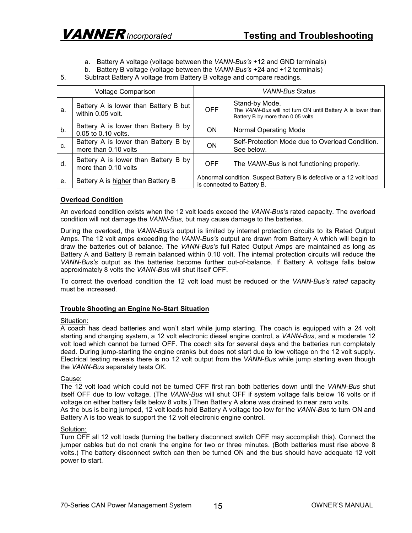- a. Battery A voltage (voltage between the *VANN-Bus's* +12 and GND terminals)
- b. Battery B voltage (voltage between the *VANN-Bus's* +24 and +12 terminals)
- 5. Subtract Battery A voltage from Battery B voltage and compare readings.

| <b>Voltage Comparison</b> |                                                              | VANN-Bus Status                                                                                    |                                                                                                                     |  |
|---------------------------|--------------------------------------------------------------|----------------------------------------------------------------------------------------------------|---------------------------------------------------------------------------------------------------------------------|--|
| а.                        | Battery A is lower than Battery B but<br>within 0.05 volt.   | OFF.                                                                                               | Stand-by Mode.<br>The VANN-Bus will not turn ON until Battery A is lower than<br>Battery B by more than 0.05 volts. |  |
| b.                        | Battery A is lower than Battery B by<br>0.05 to 0.10 volts.  | ON.                                                                                                | <b>Normal Operating Mode</b>                                                                                        |  |
| C.                        | Battery A is lower than Battery B by<br>more than 0.10 volts | <b>ON</b>                                                                                          | Self-Protection Mode due to Overload Condition.<br>See below.                                                       |  |
| d.                        | Battery A is lower than Battery B by<br>more than 0.10 volts | <b>OFF</b>                                                                                         | The VANN-Bus is not functioning properly.                                                                           |  |
| е.                        | Battery A is higher than Battery B                           | Abnormal condition. Suspect Battery B is defective or a 12 volt load<br>is connected to Battery B. |                                                                                                                     |  |

#### **Overload Condition**

An overload condition exists when the 12 volt loads exceed the *VANN-Bus's* rated capacity. The overload condition will not damage the *VANN-Bus,* but may cause damage to the batteries.

During the overload, the *VANN-Bus's* output is limited by internal protection circuits to its Rated Output Amps. The 12 volt amps exceeding the *VANN-Bus's* output are drawn from Battery A which will begin to draw the batteries out of balance. The *VANN-Bus's* full Rated Output Amps are maintained as long as Battery A and Battery B remain balanced within 0.10 volt. The internal protection circuits will reduce the *VANN-Bus's* output as the batteries become further out-of-balance. If Battery A voltage falls below approximately 8 volts the *VANN-Bus* will shut itself OFF.

To correct the overload condition the 12 volt load must be reduced or the *VANN-Bus's rated* capacity must be increased.

#### **Trouble Shooting an Engine No-Start Situation**

#### Situation:

A coach has dead batteries and won't start while jump starting. The coach is equipped with a 24 volt starting and charging system, a 12 volt electronic diesel engine control, a *VANN-Bus*, and a moderate 12 volt load which cannot be turned OFF. The coach sits for several days and the batteries run completely dead. During jump-starting the engine cranks but does not start due to low voltage on the 12 volt supply. Electrical testing reveals there is no 12 volt output from the *VANN-Bus* while jump starting even though the *VANN-Bus* separately tests OK.

#### Cause:

The 12 volt load which could not be turned OFF first ran both batteries down until the *VANN-Bus* shut itself OFF due to low voltage. (The *VANN-Bus* will shut OFF if system voltage falls below 16 volts or if voltage on either battery falls below 8 volts.) Then Battery A alone was drained to near zero volts. As the bus is being jumped, 12 volt loads hold Battery A voltage too low for the *VANN-Bus* to turn ON and Battery A is too weak to support the 12 volt electronic engine control.

#### Solution:

Turn OFF all 12 volt loads (turning the battery disconnect switch OFF may accomplish this). Connect the jumper cables but do not crank the engine for two or three minutes. (Both batteries must rise above 8 volts.) The battery disconnect switch can then be turned ON and the bus should have adequate 12 volt power to start.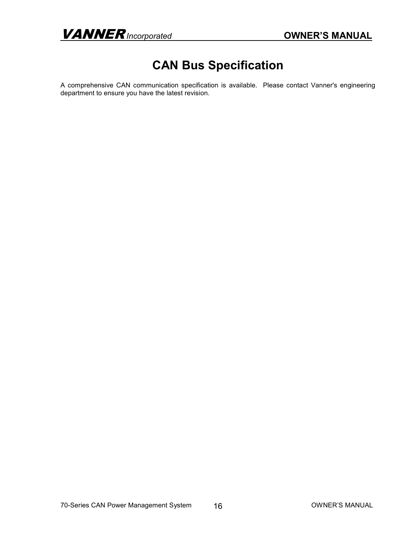VANNER *Incorporated* **OWNER'S MANUAL**

# **CAN Bus Specification**

A comprehensive CAN communication specification is available. Please contact Vanner's engineering department to ensure you have the latest revision.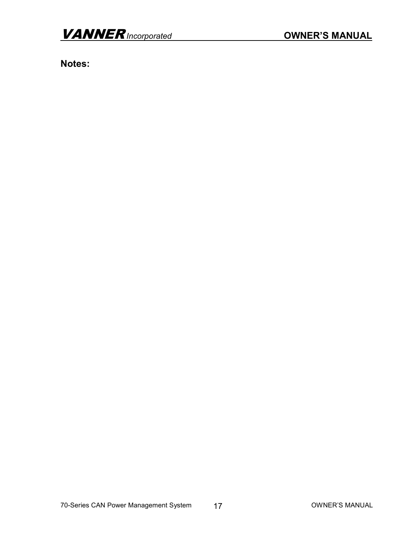**Notes:**